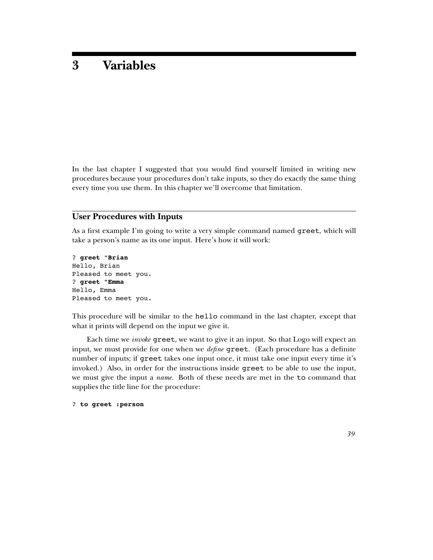# **3 Variables**

In the last chapter I suggested that you would find yourself limited in writing new procedures because your procedures don't take inputs, so they do exactly the same thing every time you use them. In this chapter we'll overcome that limitation.

#### **User Procedures with Inputs**

As a first example I'm going to write a very simple command named  $\mathtt{greet},$  which will take a person's name as its one input. Here's how it will work:

**greet "Brian** ? **greet "Emma** ? Hello, Brian Pleased to meet you. Hello, Emma Pleased to meet you.

This procedure will be similar to the hello command in the last chapter, except that what it prints will depend on the input we give it.

Each time we *invoke* greet, we want to give it an input. So that Logo will expect an input, we must provide for one when we *define* greet. (Each procedure has a definite we must give the input a *name*. Both of these needs are met in the to command that number of inputs; if greet takes one input once, it must take one input every time it's invoked.) Also, in order for the instructions inside greet to be able to use the input, supplies the title line for the procedure:

**to greet :person** ?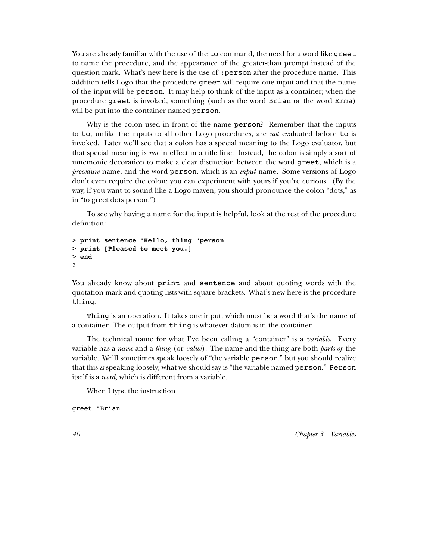You are already familiar with the use of the  $\texttt{to}$  command, the need for a word like  $\texttt{greet}$ question mark. What's new here is the use of  $\,:\,$  person after the procedure name. This addition tells Logo that the procedure greet will require one input and that the name of the input will be **person**. It may help to think of the input as a container; when the procedure greet is invoked, something (such as the word Brian or the word Emma) will be put into the container named person. to name the procedure, and the appearance of the greater-than prompt instead of the

to to, unlike the inputs to all other Logo procedures, are *not* evaluated before to is that special meaning is *not* in effect in a title line. Instead, the colon is simply a sort of *procedure* name, and the word person, which is an *input* name. Some versions of Logo Why is the colon used in front of the name person? Remember that the inputs mnemonic decoration to make a clear distinction between the word greet, which is a invoked. Later we'll see that a colon has a special meaning to the Logo evaluator, but don't even require the colon; you can experiment with yours if you're curious. (By the way, if you want to sound like a Logo maven, you should pronounce the colon "dots," as in "to greet dots person.")

To see why having a name for the input is helpful, look at the rest of the procedure definition:

```
>
print sentence "Hello, thing "person
>
print [Pleased to meet you.]
>
end
?
```
You already know about print and sentence and about quoting words with the thing . quotation mark and quoting lists with square brackets. What's new here is the procedure

Thing is an operation. It takes one input, which must be a word that's the name of a container. The output from  $\tt thing$  is whatever datum is in the container.

The technical name for what I've been calling a "container" is a *variable*. Every *variable has a name and a thing* (or *value*). The name and the thing are both *parts of* the that this *is* speaking loosely; what we should say is "the variable named person." Person itself is a *word,* which is different from a variable. variable. We'll sometimes speak loosely of "the variable  $\tt person,$ " but you should realize

When I type the instruction

greet "Brian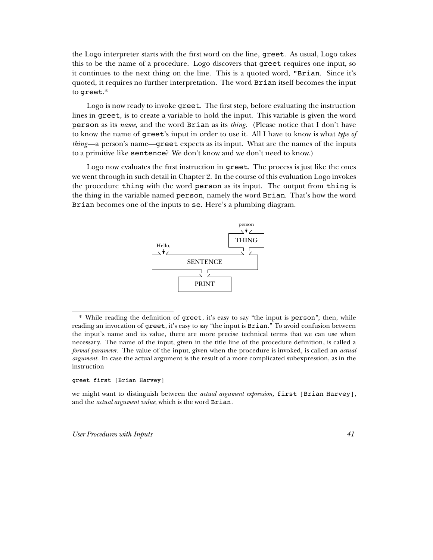the Logo interpreter starts with the first word on the line, greet. As usual, Logo takes this to be the name of a procedure. Logo discovers that greet requires one input, so it continues to the next thing on the line. This is a quoted word, "Brian. Since it's quoted, it requires no further interpretation. The word Brian itself becomes the input to greet.\*

person as its *name*, and the word Brian as its *thing.* (Please notice that I don't have to know the name of greet's input in order to use it. All I have to know is what *type of thing*—a person's name—greet expects as its input. What are the names of the inputs Logo is now ready to invoke greet. The first step, before evaluating the instruction lines in greet, is to create a variable to hold the input. This variable is given the word to a primitive like sentence? We don't know and we don't need to know.)

Logo now evaluates the first instruction in greet. The process is just like the ones the procedure thing with the word person as its input. The output from thing is the thing in the variable named person, namely the word Brian. That's how the word Brian becomes one of the inputs to se. Here's a plumbing diagram. we went through in such detail in Chapter 2. In the course of this evaluation Logo invokes



<sup>\*</sup> While reading the definition of greet, it's easy to say "the input is person"; then, while reading an invocation of greet, it's easy to say "the input is Brian." To avoid confusion between *formal parameter*. The value of the input, given when the procedure is invoked, is called an *actual argument.* In case the actual argument is the result of a more complicated subexpression, as in the the input's name and its value, there are more precise technical terms that we can use when necessar y. The name of the input, given in the title line of the procedure definition, is called a instruction

*User Procedures with Inputs 41*

greet first [Brian Harvey]

we might want to distinguish between the *actual argument expression*, first [Brian Harvey], and the *actual argument value*, which is the word Brian.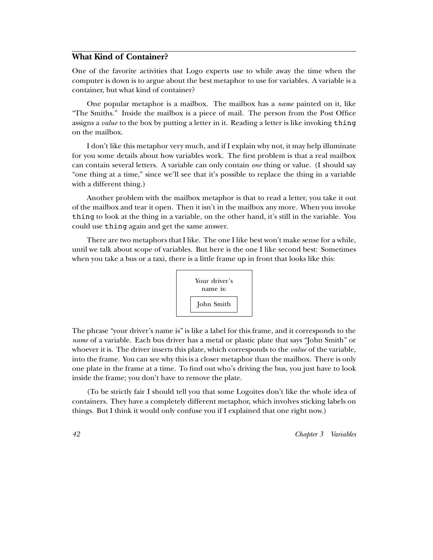# **What Kind of Container?**

One of the favorite activities that Logo experts use to while away the time when the computer is down is to argue about the best metaphor to use for variables. A variable is a container, but what kind of container?

assigns a *value* to the box by putting a letter in it. Reading a letter is like invoking <code>thing</code> One popular metaphor is a mailbox. The mailbox has a *name* painted on it, like "The Smiths." Inside the mailbox is a piece of mail. The person from the Post Office on the mailbox.

can contain several letters. A variable can only contain one thing or value. (I should say I don't like this metaphor very much, and if I explain why not, it may help illuminate for you some details about how variables work. The first problem is that a real mailbox "one thing at a time," since we'll see that it's possible to replace the thing in a variable with a different thing.)

thing to look at the thing in a variable, on the other hand, it's still in the variable. You could use thing again and get the same answer. Another problem with the mailbox metaphor is that to read a letter, you take it out of the mailbox and tear it open. Then it isn't in the mailbox any more. When you invoke

There are two metaphors that I like. The one I like best won't make sense for a while, until we talk about scope of variables. But here is the one I like second best: Sometimes when you take a bus or a taxi, there is a little frame up in front that looks like this:



*name* of a variable. Each bus driver has a metal or plastic plate that says "John Smith" or whoever it is. The driver inserts this plate, which corresponds to the *value* of the variable, The phrase "your driver's name is" is like a label for this frame, and it corresponds to the into the frame. You can see why this is a closer metaphor than the mailbox. There is only one plate in the frame at a time. To find out who's driving the bus, you just have to look inside the frame; you don't have to remove the plate.

(To be strictly fair I should tell you that some Logoites don't like the whole idea of containers. They have a completely different metaphor, which involves sticking labels on things. But I think it would only confuse you if I explained that one right now.)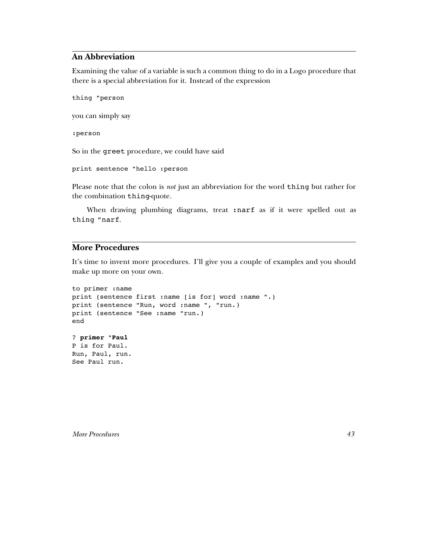### **An Abbreviation**

Examining the value of a variable is such a common thing to do in a Logo procedure that there is a special abbreviation for it. Instead of the expression

thing "person

you can simply say

:person

So in the greet procedure, we could have said

print sentence "hello :person

Please note that the colon is *not* just an abbreviation for the word thing but rather for the combination thing-quote.

When drawing plumbing diagrams, treat :narf as if it were spelled out as thing "narf .

# **More Procedures**

It's time to invent more procedures. I'll give you a couple of examples and you should make up more on your own.

```
primer "Paul
?
to primer :name
print (sentence first :name [is for] word :name ".)
print (sentence "Run, word :name ", "run.)
print (sentence "See :name "run.)
end
P is for Paul.
Run, Paul, run.
See Paul run.
```
*More Procedures 43*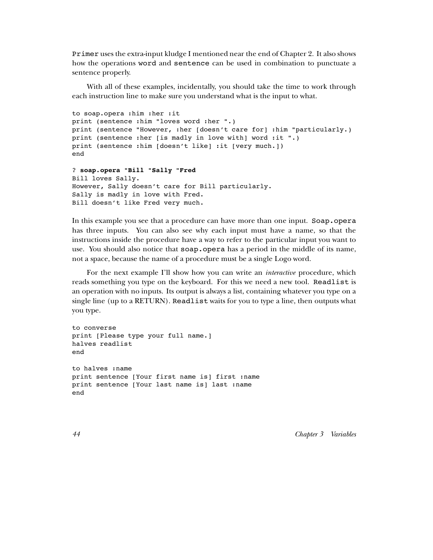Primer uses the extra-input kludge I mentioned near the end of Chapter 2. It also shows how the operations word and sentence can be used in combination to punctuate a sentence properly.

With all of these examples, incidentally, you should take the time to work through each instruction line to make sure you understand what is the input to what.

```
soap.opera "Bill "Sally "Fred
?
to soap.opera :him :her :it
print (sentence :him "loves word :her ".)
print (sentence "However, :her [doesn't care for] :him "particularly.)
print (sentence :her [is madly in love with] word :it ".)
print (sentence :him [doesn't like] :it [very much.])
end
Bill loves Sally.
However, Sally doesn't care for Bill particularly.
Sally is madly in love with Fred.
Bill doesn't like Fred very much.
```
In this example you see that a procedure can have more than one input. Soap.opera use. You should also notice that soap.opera has a period in the middle of its name, has three inputs. You can also see why each input must have a name, so that the instructions inside the procedure have a way to refer to the particular input you want to not a space, because the name of a procedure must be a single Logo word.

For the next example I'll show how you can write an *interactive* procedure, which reads something you type on the keyboard. For this we need a new tool. Readlist is single line (up to a  $\text{RETURN}$ ). Readlist waits for you to type a line, then outputs what an operation with no inputs. Its output is always a list, containing whatever you type on a you type.

```
to converse
print [Please type your full name.]
halves readlist
end
to halves :name
print sentence [Your first name is] first :name
print sentence [Your last name is] last :name
end
```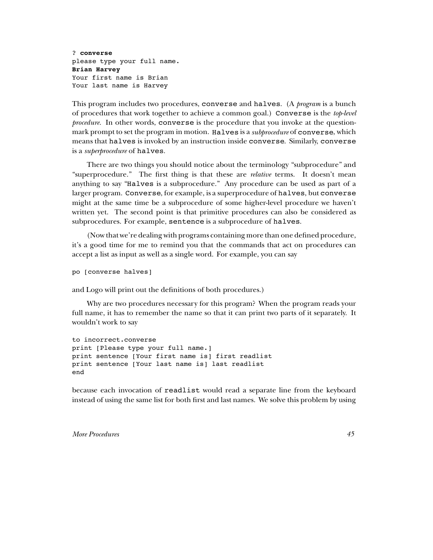**converse** ? **Brian Harvey** please type your full name. Your first name is Brian Your last name is Harvey

This program includes two procedures, converse and halves. (A *program* is a bunch of procedures that work together to achieve a common goal.) Converse is the *top-level* procedure. In other words, converse is the procedure that you invoke at the questionmark prompt to set the program in motion. Halves is a *subprocedure* of  $\verb|converse|$ , which is a *superprocedure* of halves. means that halves is invoked by an instruction inside converse. Similarly, converse

"superprocedure." The first thing is that these are *relative* terms. It doesn't mean anything to say "Halves is a subprocedure." Any procedure can be used as part of a larger program. Converse, for example, is a superprocedure of <code>halves</code>, but <code>converse</code> subprocedures. For example, sentence is a subprocedure of halves. There are two things you should notice about the terminology "subprocedure" and might at the same time be a subprocedure of some higher-level procedure we haven't written yet. The second point is that primitive procedures can also be considered as

(Now that we're dealing with programs containing more than one defined procedure, it's a good time for me to remind you that the commands that act on procedures can accept a list as input as well as a single word. For example, you can say

```
po [converse halves]
```
and Logo will print out the definitions of both procedures.)

Why are two procedures necessary for this program? When the program reads your full name, it has to remember the name so that it can print two parts of it separately. It wouldn't work to say

```
to incorrect.converse
print [Please type your full name.]
print sentence [Your first name is] first readlist
print sentence [Your last name is] last readlist
end
```
because each invocation of readlist would read a separate line from the keyboard instead of using the same list for both first and last names. We solve this problem by using

*More Procedures 45*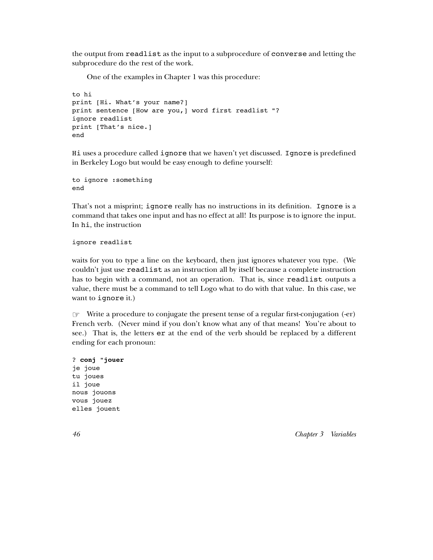the output from readlist as the input to a subprocedure of converse and letting the subprocedure do the rest of the work.

One of the examples in Chapter 1 was this procedure:

```
to hi
print [Hi. What's your name?]
print sentence [How are you,] word first readlist "?
ignore readlist
print [That's nice.]
end
```
Hi uses a procedure called ignore that we haven't yet discussed. Ignore is predefined in Berkeley Logo but would be easy enough to define yourself:

```
to ignore :something
end
```
That's not a misprint; ignore really has no instructions in its definition. Ignore is a In hi, the instruction command that takes one input and has no effect at all! Its purpose is to ignore the input.

```
ignore readlist
```
couldn't just use **readlist** as an instruction all by itself because a complete instruction has to begin with a command, not an operation. That is, since readlist outputs a want to **ignore** it.) waits for you to type a line on the keyboard, then just ignores whatever you type. (We value, there must be a command to tell Logo what to do with that value. In this case, we

☞ Write a procedure to conjugate the present tense of a regular first-conjugation (-er) see.) That is, the letters  $er$  at the end of the verb should be replaced by a different French verb. (Never mind if you don't know what any of that means! You're about to ending for each pronoun:

```
conj "jouer
?
je joue
tu joues
il joue
nous jouons
vous jouez
elles jouent
```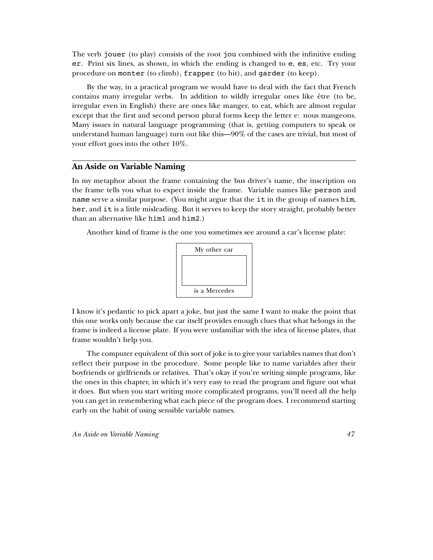The verb jouer (to play) consists of the root jou combined with the infinitive ending er. Print six lines, as shown, in which the ending is changed to e, es, etc. Try your procedure on monter (to climb), frapper (to hit), and garder (to keep).

By the way, in a practical program we would have to deal with the fact that French contains many irregular verbs. In addition to wildly irregular ones like être (to be, irregular even in English) there are ones like manger, to eat, which are almost regular except that the first and second person plural forms keep the letter e: nous mangeons. Many issues in natural language programming (that is, getting computers to speak or understand human language) turn out like this—90% of the cases are trivial, but most of your effort goes into the other 10%.

#### **An Aside on Variable Naming**

the frame tells you what to expect inside the frame. Variable names like person and name serve a similar purpose. (You might argue that the it in the group of names him, her, and it is a little misleading. But it serves to keep the story straight, probably better than an alternative like him1 and him2.) In my metaphor about the frame containing the bus driver's name, the inscription on

Another kind of frame is the one you sometimes see around a car's license plate:



I know it's pedantic to pick apart a joke, but just the same I want to make the point that this one works only because the car itself provides enough clues that what belongs in the frame is indeed a license plate. If you were unfamiliar with the idea of license plates, that frame wouldn't help you.

The computer equivalent of this sort of joke is to give your variables names that don't reflect their purpose in the procedure. Some people like to name variables after their boyfriends or girlfriends or relatives. That's okay if you're writing simple programs, like the ones in this chapter, in which it's very easy to read the program and figure out what it does. But when you start writing more complicated programs, you'll need all the help you can get in remembering what each piece of the program does. I recommend starting early on the habit of using sensible variable names.

*An Aside on Variable Naming 47*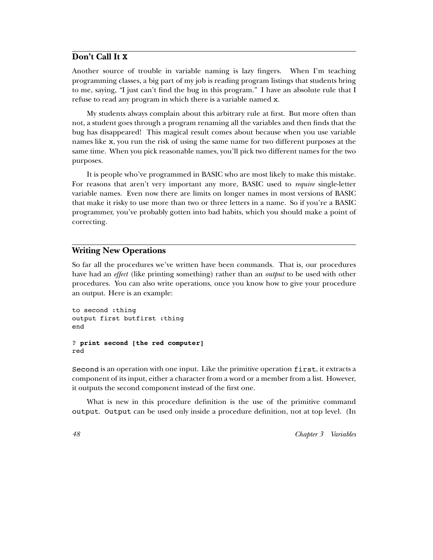### **X Don't Call It**

refuse to read any program in which there is a variable named  ${\bf x}.$ Another source of trouble in variable naming is lazy fingers. When I'm teaching programming classes, a big part of my job is reading program listings that students bring to me, saying, "I just can't find the bug in this program." I have an absolute rule that I

names like **x**, you run the risk of using the same name for two different purposes at the My students always complain about this arbitrary rule at first. But more often than not, a student goes through a program renaming all the variables and then finds that the bug has disappeared! This magical result comes about because when you use variable same time. When you pick reasonable names, you'll pick two different names for the two purposes.

For reasons that aren't very important any more, BASIC used to *require* single-letter It is people who've programmed in BASIC who are most likely to make this mistake. variable names. Even now there are limits on longer names in most versions of BASIC that make it risky to use more than two or three letters in a name. So if you're a BASIC programmer, you've probably gotten into bad habits, which you should make a point of correcting.

### **Writing New Operations**

have had an *effect* (like printing something) rather than an *output* to be used with other So far all the procedures we've written have been commands. That is, our procedures procedures. You can also write operations, once you know how to give your procedure an output. Here is an example:

to second :thing output first butfirst :thing end

```
print second [the red computer]
?
red
```
Second is an operation with one input. Like the primitive operation first, it extracts a component of its input, either a character from a word or a member from a list. However, it outputs the second component instead of the first one.

output. Output can be used only inside a procedure definition, not at top level. (In What is new in this procedure definition is the use of the primitive command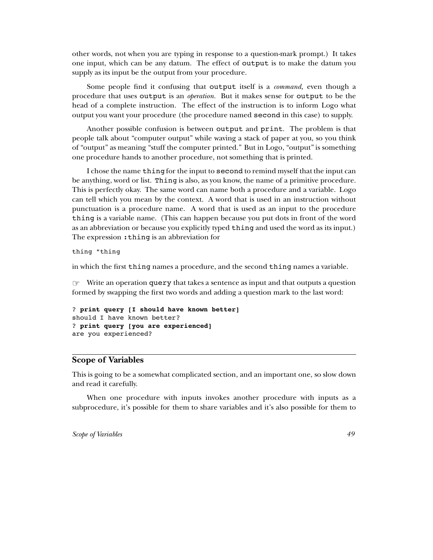one input, which can be any datum. The effect of output is to make the datum you other words, not when you are typing in response to a question-mark prompt.) It takes supply as its input be the output from your procedure.

Some people find it confusing that output itself is a *command*, even though a procedure that uses output is an *operation*. But it makes sense for output to be the output you want your procedure (the procedure named second in this case) to supply. head of a complete instruction. The effect of the instruction is to inform Logo what

Another possible confusion is between output and print. The problem is that people talk about "computer output" while waving a stack of paper at you, so you think of "output" as meaning "stuff the computer printed." But in Logo, "output" is something one procedure hands to another procedure, not something that is printed.

I chose the name  $\tt{thing}$  for the input to  $\tt{second}$  to remind myself that the input can be anything, word or list. Thing is also, as you know, the name of a primitive procedure. thing is a variable name. (This can happen because you put dots in front of the word as an abbreviation or because you explicitly typed  $\tt thing$  and used the word as its input.) The expression: thing is an abbreviation for This is perfectly okay. The same word can name both a procedure and a variable. Logo can tell which you mean by the context. A word that is used in an instruction without punctuation is a procedure name. A word that is used as an input to the procedure

thing "thing

in which the first thing names a procedure, and the second thing names a variable.

☞ Write an operation  ${\tt query}$  that takes a sentence as input and that outputs a question formed by swapping the first two words and adding a question mark to the last word:

```
?
print query [I should have known better]
should I have known better?
?
print query [you are experienced]
are you experienced?
```
## **Scope of Variables**

This is going to be a somewhat complicated section, and an important one, so slow down and read it carefully.

When one procedure with inputs invokes another procedure with inputs as a subprocedure, it's possible for them to share variables and it's also possible for them to

*Scope of Variables 49*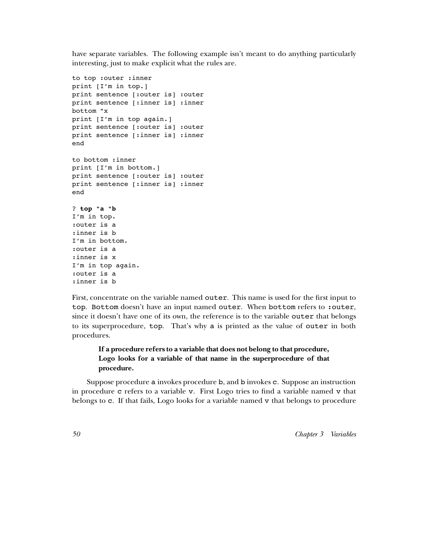have separate variables. The following example isn't meant to do anything particularly interesting, just to make explicit what the rules are.

```
top "a "b
?
to top :outer :inner
print [I'm in top.]
print sentence [:outer is] :outer
print sentence [:inner is] :inner
bottom "x
print [I'm in top again.]
print sentence [:outer is] :outer
print sentence [:inner is] :inner
end
to bottom :inner
print [I'm in bottom.]
print sentence [:outer is] :outer
print sentence [:inner is] :inner
end
I'm in top.
:outer is a
:inner is b
I'm in bottom.
:outer is a
:inner is x
I'm in top again.
:outer is a
:inner is b
```
First, concentrate on the variable named  $\verb"outer".$  This name is used for the first input to top. Bottom doesn't have an input named outer. When bottom refers to : outer, since it doesn't have one of its own, the reference is to the variable outer that belongs to its superprocedure, top. That's why a is printed as the value of outer in both procedures.

## **If a procedure refers to a variable that does not belong to that procedure, Logo looks for a variable of that name in the superprocedure of that procedure.**

Suppose procedure a invokes procedure b, and b invokes c. Suppose an instruction in procedure  $\boldsymbol{c}$  refers to a variable  $\boldsymbol{v}$ . First Logo tries to find a variable named  $\boldsymbol{v}$  that belongs to c. If that fails, Logo looks for a variable named v that belongs to procedure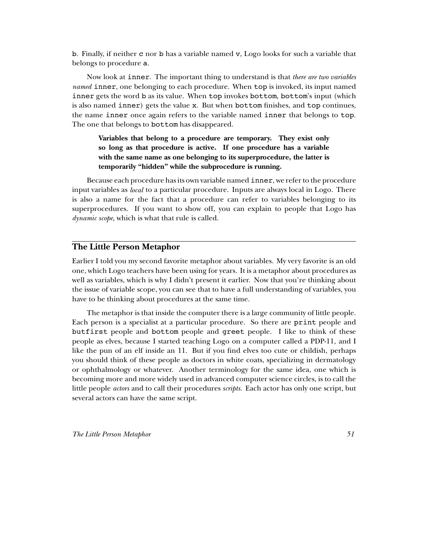b. Finally, if neither  ${\tt c}$  nor  ${\tt b}$  has a variable named  ${\tt v}$ , Logo looks for such a variable that belongs to procedure **a**.

Now look at *inner*. The important thing to understand is that *there are two variables named* inner, one belonging to each procedure. When top is invoked, its input named inner gets the word b as its value. When top invokes bottom, bottom's input (which is also named  $\mathtt{inner})$  gets the value  $\mathtt{x}.$  But when  $\mathtt{bottom}$  finishes, and  $\mathtt{top}$  continues, the name inner once again refers to the variable named inner that belongs to top. The one that belongs to bottom has disappeared.

**Variables that belong to a procedure are temporary. They exist only so long as that procedure is active. If one procedure has a variable with the same name as one belonging to its superprocedure, the latter is temporarily "hidden" while the subprocedure is running.**

input variables as *local* to a particular procedure. Inputs are always local in Logo. There *dynamic scope,* which is what that rule is called. Because each procedure has its own variable named **inner**, we refer to the procedure is also a name for the fact that a procedure can refer to variables belonging to its superprocedures. If you want to show off, you can explain to people that Logo has

#### **The Little Person Metaphor**

Earlier I told you my second favorite metaphor about variables. My very favorite is an old one, which Logo teachers have been using for years. It is a metaphor about procedures as well as variables, which is why I didn't present it earlier. Now that you're thinking about the issue of variable scope, you can see that to have a full understanding of variables, you have to be thinking about procedures at the same time.

little people *actors* and to call their procedures *scripts*. Each actor has only one script, but Each person is a specialist at a particular procedure. So there are print people and butfirst people and bottom people and greet people. I like to think of these The metaphor is that inside the computer there is a large community of little people. people as elves, because I started teaching Logo on a computer called a PDP-11, and I like the pun of an elf inside an 11. But if you find elves too cute or childish, perhaps you should think of these people as doctors in white coats, specializing in dermatology or ophthalmology or whatever. Another terminology for the same idea, one which is becoming more and more widely used in advanced computer science circles, is to call the several actors can have the same script.

*The Little Person Metaphor 51*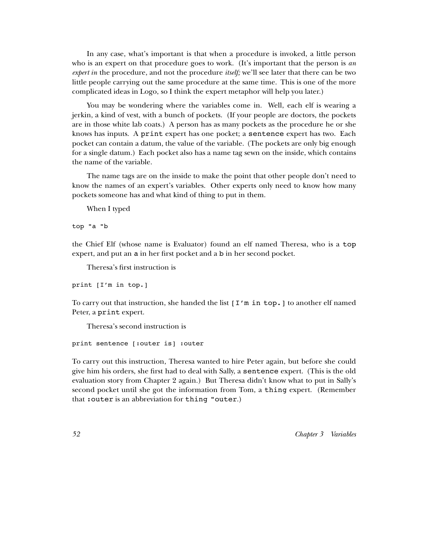who is an expert on that procedure goes to work. (It's important that the person is *an expert in* the procedure, and not the procedure *itself;* we'll see later that there can be two In any case, what's important is that when a procedure is invoked, a little person little people carrying out the same procedure at the same time. This is one of the more complicated ideas in Logo, so I think the expert metaphor will help you later.)

knows has inputs. A print expert has one pocket; a sentence expert has two. Each You may be wondering where the variables come in. Well, each elf is wearing a jerkin, a kind of vest, with a bunch of pockets. (If your people are doctors, the pockets are in those white lab coats.) A person has as many pockets as the procedure he or she pocket can contain a datum, the value of the variable. (The pockets are only big enough for a single datum.) Each pocket also has a name tag sewn on the inside, which contains the name of the variable.

The name tags are on the inside to make the point that other people don't need to know the names of an expert's variables. Other experts only need to know how many pockets someone has and what kind of thing to put in them.

When I typed

top "a "b

the Chief Elf (whose name is Evaluator) found an elf named Theresa, who is a top expert, and put an **a** in her first pocket and a **b** in her second pocket.

Theresa's first instruction is

```
print [I'm in top.]
```
To carry out that instruction, she handed the list  $[I'm in top.]$  to another elf named Peter, a print expert.

Theresa's second instruction is

print sentence [:outer is] :outer

give him his orders, she first had to deal with Sally, a **sentence** expert. (This is the old second pocket until she got the information from Tom, a thing expert. (Remember that : outer is an abbreviation for thing "outer.) To carry out this instruction, Theresa wanted to hire Peter again, but before she could evaluation story from Chapter 2 again.) But Theresa didn't know what to put in Sally's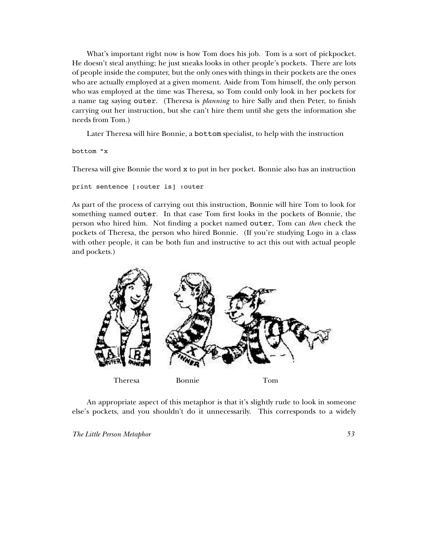a name tag saying outer. (Theresa is *planning* to hire Sally and then Peter, to finish What's important right now is how Tom does his job. Tom is a sort of pickpocket. He doesn't steal anything; he just sneaks looks in other people's pockets. There are lots of people inside the computer, but the only ones with things in their pockets are the ones who are actually employed at a given moment. Aside from Tom himself, the only person who was employed at the time was Theresa, so Tom could only look in her pockets for carrying out her instruction, but she can't hire them until she gets the information she needs from Tom.)

Later Theresa will hire Bonnie, a bottom specialist, to help with the instruction

bottom "x

Theresa will give Bonnie the word **x** to put in her pocket. Bonnie also has an instruction

print sentence [:outer is] :outer

something named outer. In that case Tom first looks in the pockets of Bonnie, the person who hired him. Not finding a pocket named outer, Tom can then check the As part of the process of carrying out this instruction, Bonnie will hire Tom to look for pockets of Theresa, the person who hired Bonnie. (If you're studying Logo in a class with other people, it can be both fun and instructive to act this out with actual people and pockets.)



An appropriate aspect of this metaphor is that it's slightly rude to look in someone else's pockets, and you shouldn't do it unnecessarily. This corresponds to a widely

*The Little Person Metaphor 53*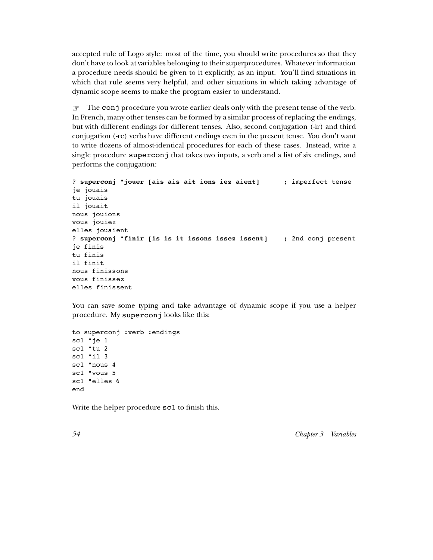accepted rule of Logo style: most of the time, you should write procedures so that they don't have to look at variables belonging to their superprocedures. Whatever information a procedure needs should be given to it explicitly, as an input. You'll find situations in which that rule seems very helpful, and other situations in which taking advantage of dynamic scope seems to make the program easier to understand.

☞ conj The procedure you wrote earlier deals only with the present tense of the verb. single procedure  $\texttt{superconj}$  that takes two inputs, a verb and a list of six endings, and In French, many other tenses can be formed by a similar process of replacing the endings, but with different endings for different tenses. Also, second conjugation (-ir) and third conjugation (-re) verbs have different endings even in the present tense. You don't want to write dozens of almost-identical procedures for each of these cases. Instead, write a performs the conjugation:

```
superconj "jouer [ais ais ait ions iez aient]
? ; imperfect tense
superconj "finir [is is it issons issez issent]
? ; 2nd conj present
je jouais
tu jouais
il jouait
nous jouions
vous jouiez
elles jouaient
je finis
tu finis
il finit
nous finissons
vous finissez
elles finissent
```
procedure. My superconj looks like this: You can save some typing and take advantage of dynamic scope if you use a helper

```
to superconj :verb :endings
sc1 "je 1
sc1 "tu 2
sc1 "il 3
sc1 "nous 4
sc1 "vous 5
sc1 "elles 6
end
```
Write the helper procedure sc1 to finish this.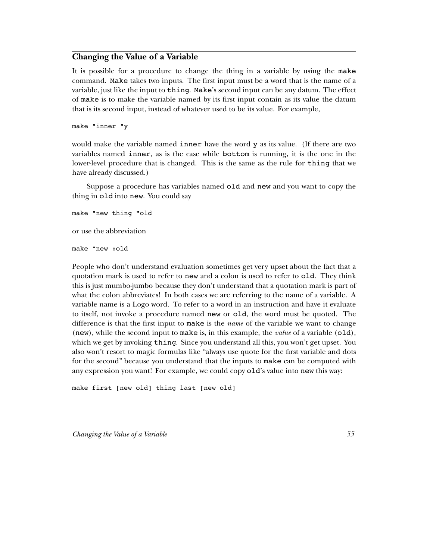#### **Changing the Value of a Variable**

It is possible for a procedure to change the thing in a variable by using the make command. Make takes two inputs. The first input must be a word that is the name of a variable, just like the input to <code>thing.</code> <code>Make's</code> second input can be any datum. The effect of make is to make the variable named by its first input contain as its value the datum that is its second input, instead of whatever used to be its value. For example,

```
make "inner "y
```
would make the variable named  $\verb|inner|$  have the word  $\bm{y}$  as its value. (If there are two variables named inner, as is the case while bottom is running, it is the one in the lower-level procedure that is changed. This is the same as the rule for thing that we have already discussed.)

Suppose a procedure has variables named  $o1d$  and new and you want to copy the thing in  $\mathsf{old}$  into new. You could say

```
make "new thing "old
or use the abbreviation
```
make "new :old

difference is that the first input to make is the *name* of the variable we want to change (new), while the second input to make is, in this example, the *value* of a variable (old), quotation mark is used to refer to new and a colon is used to refer to old. They think to itself, not invoke a procedure named new or old, the word must be quoted. The which we get by invoking <code>thing</code>. Since you understand all this, you won't get upset. You for the second" because you understand that the inputs to make can be computed with any expression you want! For example, we could copy **old**'s value into **new** this way: People who don't understand evaluation sometimes get very upset about the fact that a this is just mumbo-jumbo because they don't understand that a quotation mark is part of what the colon abbreviates! In both cases we are referring to the name of a variable. A variable name is a Logo word. To refer to a word in an instruction and have it evaluate also won't resort to magic formulas like "always use quote for the first variable and dots

```
make first [new old] thing last [new old]
```
*Changing the Value of a Variable 55*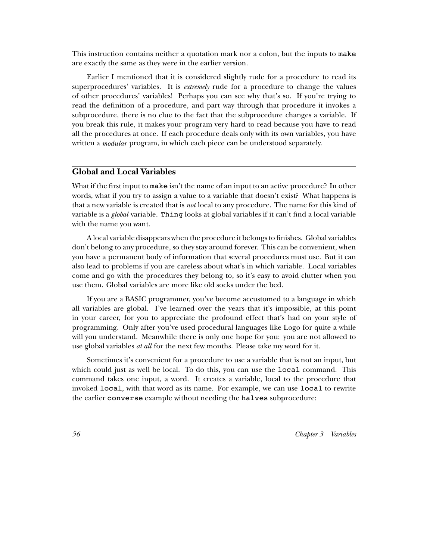This instruction contains neither a quotation mark nor a colon, but the inputs to make are exactly the same as they were in the earlier version.

superprocedures' variables. It is *extremely* rude for a procedure to change the values written a *modular* program, in which each piece can be understood separately. Earlier I mentioned that it is considered slightly rude for a procedure to read its of other procedures' variables! Perhaps you can see why that's so. If you're trying to read the definition of a procedure, and part way through that procedure it invokes a subprocedure, there is no clue to the fact that the subprocedure changes a variable. If you break this rule, it makes your program very hard to read because you have to read all the procedures at once. If each procedure deals only with its own variables, you have

#### **Global and Local Variables**

What if the first input to **make** isn't the name of an input to an active procedure? In other variable is a *global* variable. <code>Thing</code> looks at global variables if it can't find a local variable that a new variable is created that is *not* local to any procedure. The name for this kind of words, what if you try to assign a value to a variable that doesn't exist? What happens is with the name you want.

A local variable disappears when the procedure it belongsto finishes. Global variables don't belong to any procedure, so they stay around forever. This can be convenient, when you have a permanent body of information that several procedures must use. But it can also lead to problems if you are careless about what's in which variable. Local variables come and go with the procedures they belong to, so it's easy to avoid clutter when you use them. Global variables are more like old socks under the bed.

use global variables *at all* for the next few months. Please take my word for it. If you are a BASIC programmer, you've become accustomed to a language in which all variables are global. I've learned over the years that it's impossible, at this point in your career, for you to appreciate the profound effect that's had on your style of programming. Only after you've used procedural languages like Logo for quite a while will you understand. Meanwhile there is only one hope for you: you are not allowed to

which could just as well be local. To do this, you can use the local command. This invoked local, with that word as its name. For example, we can use local to rewrite the earlier converse example without needing the halves subprocedure: Sometimes it's convenient for a procedure to use a variable that is not an input, but command takes one input, a word. It creates a variable, local to the procedure that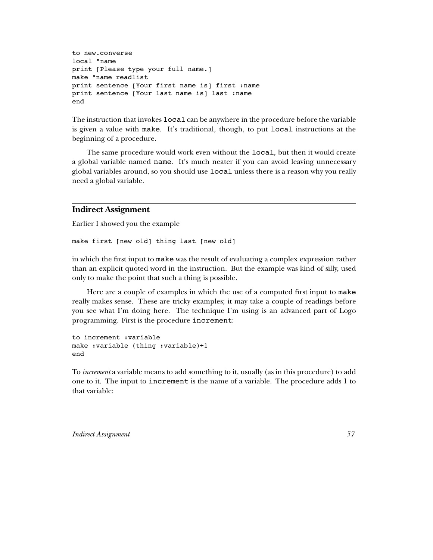```
to new.converse
local "name
print [Please type your full name.]
make "name readlist
print sentence [Your first name is] first :name
print sentence [Your last name is] last :name
end
```
The instruction that invokes  $local can be anywhere in the procedure before the variable$ is given a value with make. It's traditional, though, to put local instructions at the beginning of a procedure.

The same procedure would work even without the local, but then it would create a global variable named name. It's much neater if you can avoid leaving unnecessary global variables around, so you should use <code>local</code> unless there is a reason why you really need a global variable.

## **Indirect Assignment**

Earlier I showed you the example

```
make first [new old] thing last [new old]
```
in which the first input to **make** was the result of evaluating a complex expression rather than an explicit quoted word in the instruction. But the example was kind of silly, used only to make the point that such a thing is possible.

Here are a couple of examples in which the use of a computed first input to make programming. First is the procedure increment: really makes sense. These are tricky examples; it may take a couple of readings before you see what I'm doing here. The technique I'm using is an advanced part of Logo

```
to increment :variable
make :variable (thing :variable)+1
end
```
To *increment* a variable means to add something to it, usually (as in this procedure) to add one to it. The input to increment is the name of a variable. The procedure adds 1 to that variable:

*Indirect Assignment 57*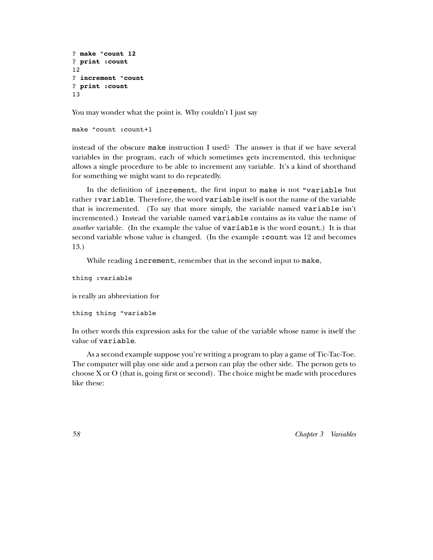```
make "count 12
?
print :count
?
increment "count
?
print :count
?
12
13
```
You may wonder what the point is. Why couldn't I just say

make "count :count+1

instead of the obscure make instruction I used? The answer is that if we have several variables in the program, each of which sometimes gets incremented, this technique allows a single procedure to be able to increment any variable. It's a kind of shorthand for something we might want to do repeatedly.

*another* variable. (In the example the value of variable is the word count.) It is that In the definition of increment, the first input to make is not "variable but rather : variable. Therefore, the word variable itself is not the name of the variable that is incremented. (To say that more simply, the variable named variable isn't incremented.) Instead the variable named **variable** contains as its value the name of second variable whose value is changed. (In the example : count was 12 and becomes 13.)

While reading increment, remember that in the second input to make,

thing :variable

is really an abbreviation for

thing thing "variable

value of **variable**. In other words this expression asks for the value of the variable whose name is itself the

As a second example suppose you're writing a program to play a game of Tic-Tac-Toe. The computer will play one side and a person can play the other side. The person gets to choose X or O (that is, going first or second). The choice might be made with procedures like these: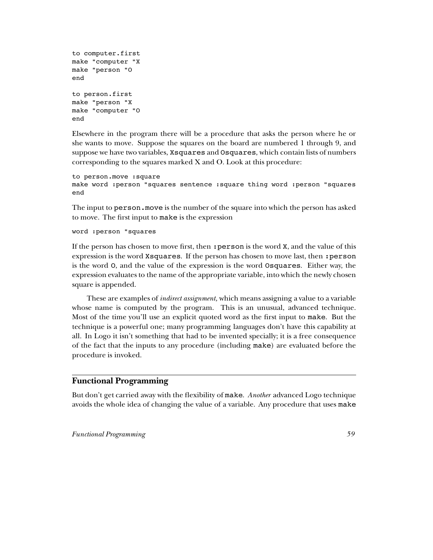```
to computer.first
make "computer "X
make "person "O
end
to person.first
make "person "X
make "computer "O
end
```
suppose we have two variables, <code>Xsquares</code> and <code>Osquares</code>, which contain lists of numbers Elsewhere in the program there will be a procedure that asks the person where he or she wants to move. Suppose the squares on the board are numbered 1 through 9, and corresponding to the squares marked X and O. Look at this procedure:

```
to person.move :square
make word :person "squares sentence :square thing word :person "squares
end
```
The input to person.move is the number of the square into which the person has asked to move. The first input to make is the expression

word :person "squares

If the person has chosen to move first, then  $\boldsymbol{:}$  person is the word **x**, and the value of this expression is the word  $X$ squares. If the person has chosen to move last, then: person is the word 0, and the value of the expression is the word 0squares. Either way, the expression evaluates to the name of the appropriate variable, into which the newly chosen square is appended.

*indirect assignment,* These are examples of which means assigning a value to a variable Most of the time you'll use an explicit quoted word as the first input to make. But the of the fact that the inputs to any procedure (including make) are evaluated before the whose name is computed by the program. This is an unusual, advanced technique. technique is a powerful one; many programming languages don't have this capability at all. In Logo it isn't something that had to be invented specially; it is a free consequence procedure is invoked.

#### **Functional Programming**

But don't get carried away with the flexibility of make. Another advanced Logo technique avoids the whole idea of changing the value of a variable. Any procedure that uses  $\mathtt{make}$ 

*Functional Programming 59*